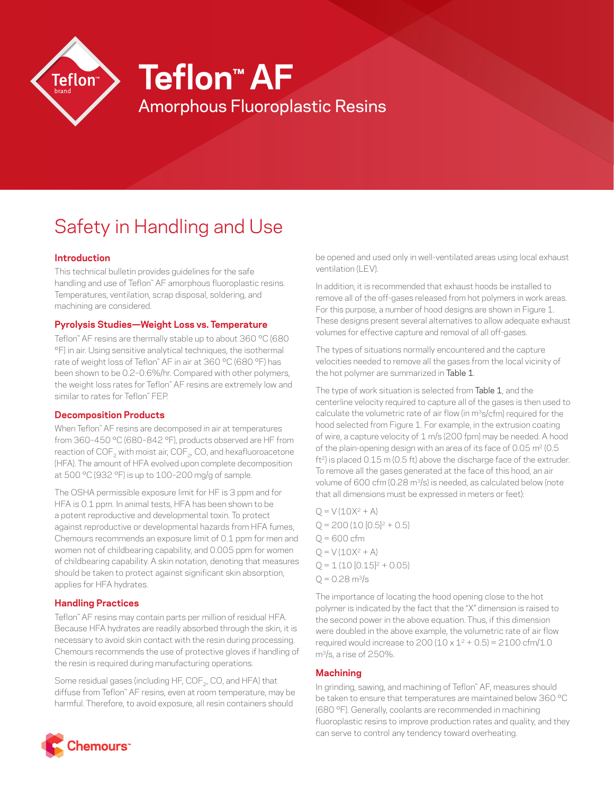

# Safety in Handling and Use

## **Introduction**

This technical bulletin provides guidelines for the safe handling and use of Teflon™ AF amorphous fluoroplastic resins. Temperatures, ventilation, scrap disposal, soldering, and machining are considered.

## **Pyrolysis Studies—Weight Loss vs. Temperature**

Teflon™ AF resins are thermally stable up to about 360 °C (680 °F) in air. Using sensitive analytical techniques, the isothermal rate of weight loss of Teflon™ AF in air at 360 °C (680 °F) has been shown to be 0.2–0.6%/hr. Compared with other polymers, the weight loss rates for Teflon™ AF resins are extremely low and similar to rates for Teflon™ FEP.

# **Decomposition Products**

When Teflon™ AF resins are decomposed in air at temperatures from 360–450 °C (680–842 °F), products observed are HF from reaction of COF<sub>2</sub> with moist air, COF<sub>2</sub>, CO, and hexafluoroacetone (HFA). The amount of HFA evolved upon complete decomposition at 500 °C (932 °F) is up to 100–200 mg/g of sample.

The OSHA permissible exposure limit for HF is 3 ppm and for HFA is 0.1 ppm. In animal tests, HFA has been shown to be a potent reproductive and developmental toxin. To protect against reproductive or developmental hazards from HFA fumes, Chemours recommends an exposure limit of 0.1 ppm for men and women not of childbearing capability, and 0.005 ppm for women of childbearing capability. A skin notation, denoting that measures should be taken to protect against significant skin absorption, applies for HFA hydrates.

# **Handling Practices**

Teflon™ AF resins may contain parts per million of residual HFA. Because HFA hydrates are readily absorbed through the skin, it is necessary to avoid skin contact with the resin during processing. Chemours recommends the use of protective gloves if handling of the resin is required during manufacturing operations.

Some residual gases (including HF, COF<sub>2</sub>, CO, and HFA) that diffuse from Teflon™ AF resins, even at room temperature, may be harmful. Therefore, to avoid exposure, all resin containers should

be opened and used only in well-ventilated areas using local exhaust ventilation (LEV).

In addition, it is recommended that exhaust hoods be installed to remove all of the off-gases released from hot polymers in work areas. For this purpose, a number of hood designs are shown in Figure 1. These designs present several alternatives to allow adequate exhaust volumes for effective capture and removal of all off-gases.

The types of situations normally encountered and the capture velocities needed to remove all the gases from the local vicinity of the hot polymer are summarized in Table 1.

The type of work situation is selected from Table 1, and the centerline velocity required to capture all of the gases is then used to calculate the volumetric rate of air flow (in m<sup>3</sup>s/cfm) required for the hood selected from Figure 1. For example, in the extrusion coating of wire, a capture velocity of 1 m/s (200 fpm) may be needed. A hood of the plain-opening design with an area of its face of  $0.05$  m<sup>2</sup> ( $0.5$ ft<sup>2</sup>) is placed 0.15 m (0.5 ft) above the discharge face of the extruder. To remove all the gases generated at the face of this hood, an air volume of 600 cfm (0.28 m<sup>3</sup>/s) is needed, as calculated below (note that all dimensions must be expressed in meters or feet):

 $Q = V (10X^2 + A)$  $Q = 200 (10 [0.5]^{2} + 0.5)$  $Q = 600$  cfm  $Q = V (10X<sup>2</sup> + A)$  $Q = 1 (10 [0.15]^{2} + 0.05)$  $Q = 0.28$  m $\frac{3}{s}$ 

The importance of locating the hood opening close to the hot polymer is indicated by the fact that the "X" dimension is raised to the second power in the above equation. Thus, if this dimension were doubled in the above example, the volumetric rate of air flow required would increase to 200 (10 x  $1^2$  + 0.5) = 2100 cfm/1.0 m3/s, a rise of 250%.

# **Machining**

In grinding, sawing, and machining of Teflon™ AF, measures should be taken to ensure that temperatures are maintained below 360 °C (680 °F). Generally, coolants are recommended in machining fluoroplastic resins to improve production rates and quality, and they can serve to control any tendency toward overheating.

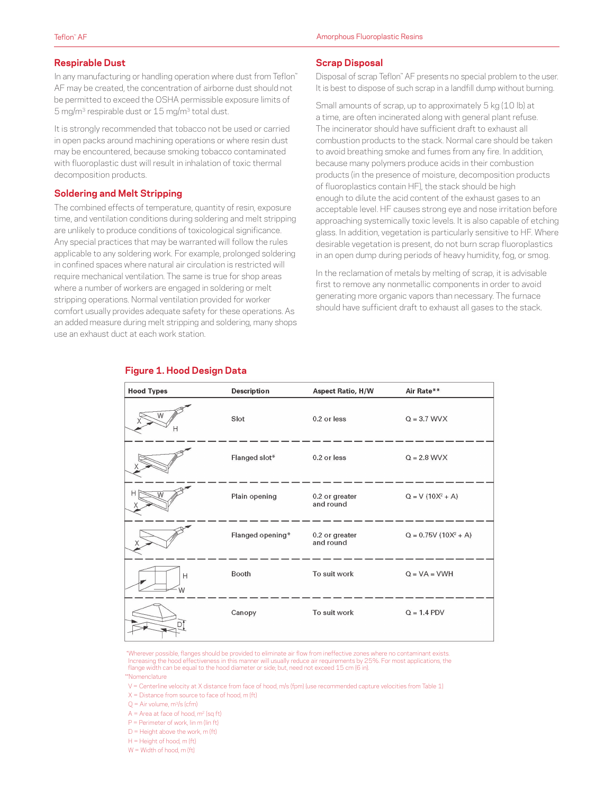#### **Respirable Dust**

In any manufacturing or handling operation where dust from Teflon™ AF may be created, the concentration of airborne dust should not be permitted to exceed the OSHA permissible exposure limits of 5 mg/m3 respirable dust or 15 mg/m3 total dust.

It is strongly recommended that tobacco not be used or carried in open packs around machining operations or where resin dust may be encountered, because smoking tobacco contaminated with fluoroplastic dust will result in inhalation of toxic thermal decomposition products.

#### **Soldering and Melt Stripping**

The combined effects of temperature, quantity of resin, exposure time, and ventilation conditions during soldering and melt stripping are unlikely to produce conditions of toxicological significance. Any special practices that may be warranted will follow the rules applicable to any soldering work. For example, prolonged soldering in confined spaces where natural air circulation is restricted will require mechanical ventilation. The same is true for shop areas where a number of workers are engaged in soldering or melt stripping operations. Normal ventilation provided for worker comfort usually provides adequate safety for these operations. As an added measure during melt stripping and soldering, many shops use an exhaust duct at each work station.

#### **Scrap Disposal**

Disposal of scrap Teflon™ AF presents no special problem to the user. It is best to dispose of such scrap in a landfill dump without burning.

Small amounts of scrap, up to approximately 5 kg (10 lb) at a time, are often incinerated along with general plant refuse. The incinerator should have sufficient draft to exhaust all combustion products to the stack. Normal care should be taken to avoid breathing smoke and fumes from any fire. In addition, because many polymers produce acids in their combustion products (in the presence of moisture, decomposition products of fluoroplastics contain HF), the stack should be high enough to dilute the acid content of the exhaust gases to an acceptable level. HF causes strong eye and nose irritation before approaching systemically toxic levels. It is also capable of etching glass. In addition, vegetation is particularly sensitive to HF. Where desirable vegetation is present, do not burn scrap fluoroplastics in an open dump during periods of heavy humidity, fog, or smog.

In the reclamation of metals by melting of scrap, it is advisable first to remove any nonmetallic components in order to avoid generating more organic vapors than necessary. The furnace should have sufficient draft to exhaust all gases to the stack.



## **Figure 1. Hood Design Data**

Wherever possible, flanges should be provided to eliminate air flow from ineffective zones where no contaminant exists. Increasing the hood effectiveness in this manner will usually reduce air requirements by 25%. For most applications, the<br>flange width can be equal to the hood diameter or side; but, need not exceed 15 cm (6 in).

\*\*Nomenclature

V = Centerline velocity at X distance from face of hood, m/s (fpm) (use recommended capture velocities from Table 1)

- $X =$  Distance from source to face of hood, m (ft)
- $Q = Air volume, m<sup>3</sup>/s (cfm)$

 $A = Area$  at face of hood,  $m<sup>2</sup>$  (sq ft)

- P = Perimeter of work, lin m (lin ft)
- D = Height above the work, m (ft)
- $H = Hei$ ght of hood, m (ft)
- W = Width of hood, m (ft)